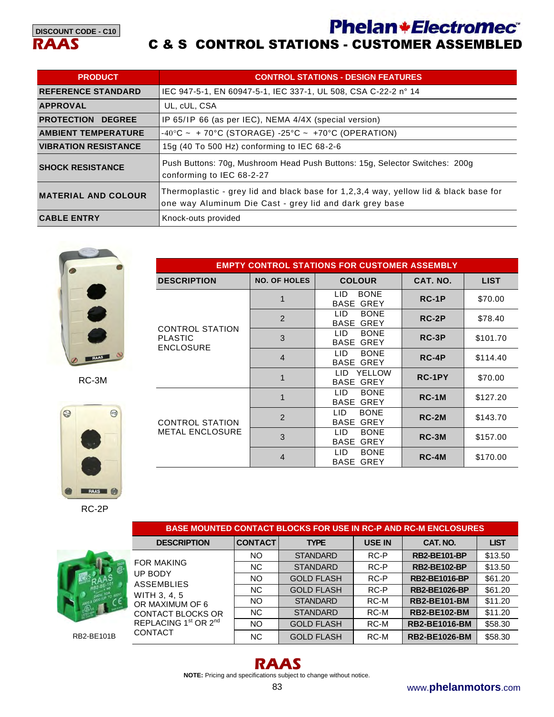**Phelan \*Electromec** 



#### C & S CONTROL STATIONS - CUSTOMER ASSEMBLED

**EMPTY CONTROL STATIONS FOR CUSTOMER ASSEMBLY DESCRIPTION NO. OF HOLES COLOUR CAT. NO. LIST** 

1 **LID BONE <b>RC-1P** \$70.00

2 **LID BONE RC-2P** \$78.40

3 | LID BONE | **RC-3P** | \$101.70

4 | LID BONE | **RC-4P** | \$114.40

1 **LID YELLOW | RC-1PY | \$70.00** 

1 **LID BONE RC-1M** \$127.20

2 | LID BONE | **RC-2M** | \$143.70

3 | LID BONE | **RC-3M** | \$157.00

4 | LID BONE | **RC-4M** | \$170.00

| <b>PRODUCT</b>              | <b>CONTROL STATIONS - DESIGN FEATURES</b>                                                                                                       |
|-----------------------------|-------------------------------------------------------------------------------------------------------------------------------------------------|
| <b>REFERENCE STANDARD</b>   | IEC 947-5-1, EN 60947-5-1, IEC 337-1, UL 508, CSA C-22-2 n° 14                                                                                  |
| <b>APPROVAL</b>             | UL, cUL, CSA                                                                                                                                    |
| <b>PROTECTION DEGREE</b>    | IP 65/IP 66 (as per IEC), NEMA 4/4X (special version)                                                                                           |
| <b>AMBIENT TEMPERATURE</b>  | $-40^{\circ}$ C ~ + 70°C (STORAGE) $-25^{\circ}$ C ~ +70°C (OPERATION)                                                                          |
| <b>VIBRATION RESISTANCE</b> | 15g (40 To 500 Hz) conforming to IEC 68-2-6                                                                                                     |
| <b>SHOCK RESISTANCE</b>     | Push Buttons: 70g, Mushroom Head Push Buttons: 15g, Selector Switches: 200g<br>conforming to IEC 68-2-27                                        |
| <b>MATERIAL AND COLOUR</b>  | Thermoplastic - grey lid and black base for 1,2,3,4 way, yellow lid & black base for<br>one way Aluminum Die Cast - grey lid and dark grey base |
| <b>CABLE ENTRY</b>          | Knock-outs provided                                                                                                                             |



CONTROL STATION

CONTROL STATION METAL ENCLOSURE

PLASTIC ENCLOSURE

RC-3M



RC-2P



RB2-BE101B

**DESCRIPTION CONTACT TYPE USE IN CAT. NO. LIST** FOR MAKING UP BODY ASSEMBLIES WITH 3, 4, 5 OR MAXIMUM OF 6 CONTACT BLOCKS OR REPLACING 1<sup>st</sup> OR 2<sup>nd</sup> CONTACT NO STANDARD RC-P **RB2-BE101-BP** \$13.50 NC | STANDARD | RC-P | **RB2-BE102-BP** | \$13.50 NO GOLD FLASH RC-P **RB2-BE1016-BP** \$61.20 NC | GOLD FLASH | RC-P | **RB2-BE1026-BP** | \$61.20 NO **STANDARD** RC-M **RB2-BE101-BM** \$11.20 NC | STANDARD | RC-M | **RB2-BE102-BM** | \$11.20 NO **GOLD FLASH RC-M RB2-BE1016-BM** \$58.30 NC | GOLD FLASH | RC-M | **RB2-BE1026-BM** | \$58.30

**BASE MOUNTED CONTACT BLOCKS FOR USE IN RC-P AND RC-M ENCLOSURES** 



**NOTE:** Pricing and specifications subject to change without notice.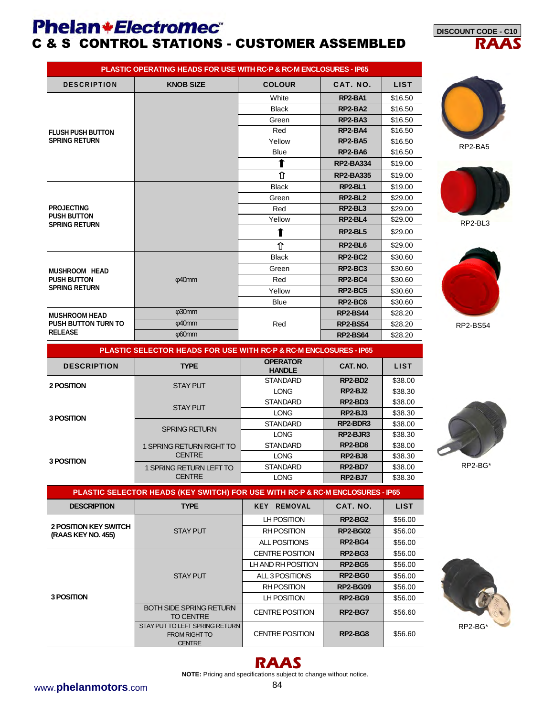## **Phelan+Electromec** C & S CONTROL STATIONS - CUSTOMER ASSEMBLED

| <b>PLASTIC OPERATING HEADS FOR USE WITH RC-P &amp; RC-M ENCLOSURES - IP65</b> |                                                                                                                                                                                                                                                                                                                                                                                                                                                                                                             |               |                |             |  |  |  |
|-------------------------------------------------------------------------------|-------------------------------------------------------------------------------------------------------------------------------------------------------------------------------------------------------------------------------------------------------------------------------------------------------------------------------------------------------------------------------------------------------------------------------------------------------------------------------------------------------------|---------------|----------------|-------------|--|--|--|
| <b>DESCRIPTION</b>                                                            | <b>KNOB SIZE</b>                                                                                                                                                                                                                                                                                                                                                                                                                                                                                            | <b>COLOUR</b> | CAT. NO.       | <b>LIST</b> |  |  |  |
|                                                                               |                                                                                                                                                                                                                                                                                                                                                                                                                                                                                                             | White         | RP2-BA1        | \$16.50     |  |  |  |
|                                                                               |                                                                                                                                                                                                                                                                                                                                                                                                                                                                                                             | <b>Black</b>  | <b>RP2-BA2</b> | \$16.50     |  |  |  |
|                                                                               | RP2-BA3<br>Green<br>Red<br><b>RP2-BA4</b><br>Yellow<br><b>RP2-BA5</b><br><b>Blue</b><br>RP2-BA6<br><b>RP2-BA334</b><br>⇧<br><b>RP2-BA335</b><br><b>Black</b><br>RP2-BL1<br>RP2-BL2<br>Green<br>RP2-BL3<br>Red<br>RP2-BL4<br>Yellow<br>RP2-BL5<br>1<br>⇑<br>RP2-BL6<br><b>RP2-BC2</b><br><b>Black</b><br>RP2-BC3<br>Green<br>@40mm<br>Red<br>RP2-BC4<br>Yellow<br>RP2-BC5<br>RP2-BC6<br><b>Blue</b><br>$\phi$ 30mm<br><b>RP2-BS44</b><br>@40mm<br>Red<br><b>RP2-BS54</b><br>$\n  q60mm\n$<br><b>RP2-BS64</b> | \$16.50       |                |             |  |  |  |
| <b>FLUSH PUSH BUTTON</b>                                                      |                                                                                                                                                                                                                                                                                                                                                                                                                                                                                                             |               |                | \$16.50     |  |  |  |
| <b>SPRING RETURN</b>                                                          |                                                                                                                                                                                                                                                                                                                                                                                                                                                                                                             |               |                | \$16.50     |  |  |  |
|                                                                               |                                                                                                                                                                                                                                                                                                                                                                                                                                                                                                             |               |                | \$16.50     |  |  |  |
|                                                                               |                                                                                                                                                                                                                                                                                                                                                                                                                                                                                                             |               |                | \$19.00     |  |  |  |
|                                                                               |                                                                                                                                                                                                                                                                                                                                                                                                                                                                                                             |               |                | \$19.00     |  |  |  |
|                                                                               |                                                                                                                                                                                                                                                                                                                                                                                                                                                                                                             |               |                | \$19.00     |  |  |  |
|                                                                               |                                                                                                                                                                                                                                                                                                                                                                                                                                                                                                             |               |                | \$29.00     |  |  |  |
| <b>PROJECTING</b>                                                             |                                                                                                                                                                                                                                                                                                                                                                                                                                                                                                             |               |                | \$29.00     |  |  |  |
| <b>PUSH BUTTON</b>                                                            |                                                                                                                                                                                                                                                                                                                                                                                                                                                                                                             |               |                | \$29.00     |  |  |  |
| <b>SPRING RETURN</b>                                                          |                                                                                                                                                                                                                                                                                                                                                                                                                                                                                                             |               |                | \$29.00     |  |  |  |
|                                                                               |                                                                                                                                                                                                                                                                                                                                                                                                                                                                                                             |               |                | \$29.00     |  |  |  |
|                                                                               |                                                                                                                                                                                                                                                                                                                                                                                                                                                                                                             |               |                | \$30.60     |  |  |  |
| <b>MUSHROOM HEAD</b>                                                          |                                                                                                                                                                                                                                                                                                                                                                                                                                                                                                             |               |                | \$30.60     |  |  |  |
| <b>PUSH BUTTON</b>                                                            |                                                                                                                                                                                                                                                                                                                                                                                                                                                                                                             |               |                | \$30.60     |  |  |  |
| <b>SPRING RETURN</b>                                                          |                                                                                                                                                                                                                                                                                                                                                                                                                                                                                                             |               |                | \$30.60     |  |  |  |
|                                                                               |                                                                                                                                                                                                                                                                                                                                                                                                                                                                                                             |               |                | \$30.60     |  |  |  |
| <b>MUSHROOM HEAD</b>                                                          |                                                                                                                                                                                                                                                                                                                                                                                                                                                                                                             |               |                | \$28.20     |  |  |  |
| <b>PUSH BUTTON TURN TO</b>                                                    |                                                                                                                                                                                                                                                                                                                                                                                                                                                                                                             |               |                | \$28.20     |  |  |  |
| <b>RELEASE</b>                                                                |                                                                                                                                                                                                                                                                                                                                                                                                                                                                                                             |               |                | \$28.20     |  |  |  |

**PLASTIC SELECTOR HEADS FOR USE WITH RC·P & RC·M ENCLOSURES - IP65**

**HANDLE** | CAT. NO. | LIST

STANDARD **RP2-BD2** \$38.00 LONG **RP2-BJ2** \$38.30

STANDARD **RP2-BD3** \$38.00 LONG **RP2-BJ3** \$38.30

STANDARD **RP2-BD8** \$38.00 LONG | **RP2-BJ8** \$38.30

STANDARD **RP2-BD7** \$38.00 LONG **RP2-BJ7** \$38.30

 $RP2-BJR3$ 

SPRING RETURN STANDARD **RP2-BDR3** \$38.00

**DESCRIPTION TYPE OPERATOR** 

STAY PUT

1 SPRING RETURN RIGHT TO **CENTRE** 

1 SPRING RETURN LEFT TO **CENTRE** 

**2 POSITION BUSINESS ASSESSED ASSESSED ASSESSED AT A STAY PUT** 

**3 POSITION** 

**3 POSITION** 



**DISCOUNT CODE - C10** 

**RAAS**



RP2-BA5



RP2-BS54



RP2-BG\*

| PLASTIC SELECTOR HEADS (KEY SWITCH) FOR USE WITH RC-P & RC-M ENCLOSURES - IP65 |                                                                         |                              |                 |             |  |  |  |  |
|--------------------------------------------------------------------------------|-------------------------------------------------------------------------|------------------------------|-----------------|-------------|--|--|--|--|
| <b>DESCRIPTION</b>                                                             | <b>TYPE</b>                                                             | <b>REMOVAL</b><br><b>KEY</b> | CAT. NO.        | <b>LIST</b> |  |  |  |  |
|                                                                                |                                                                         | LH POSITION                  | RP2-BG2         | \$56.00     |  |  |  |  |
| <b>2 POSITION KEY SWITCH</b><br>(RAAS KEY NO. 455)                             | <b>STAY PUT</b>                                                         | <b>RH POSITION</b>           | <b>RP2-BG02</b> | \$56.00     |  |  |  |  |
|                                                                                |                                                                         | ALL POSITIONS                | RP2-BG4         | \$56.00     |  |  |  |  |
|                                                                                |                                                                         | <b>CENTRE POSITION</b>       | RP2-BG3         | \$56.00     |  |  |  |  |
|                                                                                | <b>STAY PUT</b>                                                         | LH AND RH POSITION           | <b>RP2-BG5</b>  | \$56.00     |  |  |  |  |
|                                                                                |                                                                         | ALL 3 POSITIONS              | RP2-BG0         | \$56.00     |  |  |  |  |
|                                                                                |                                                                         | <b>RH POSITION</b>           | <b>RP2-BG09</b> | \$56.00     |  |  |  |  |
| 3 POSITION                                                                     |                                                                         | LH POSITION                  | RP2-BG9         | \$56.00     |  |  |  |  |
|                                                                                | <b>BOTH SIDE SPRING RETURN</b><br><b>TO CENTRE</b>                      | <b>CENTRE POSITION</b>       | RP2-BG7         | \$56.60     |  |  |  |  |
|                                                                                | STAY PUT TO LEFT SPRING RETURN<br><b>FROM RIGHT TO</b><br><b>CENTRE</b> | <b>CENTRE POSITION</b>       | RP2-BG8         | \$56.60     |  |  |  |  |



#### **RAAS**

**NOTE:** Pricing and specifications subject to change without notice.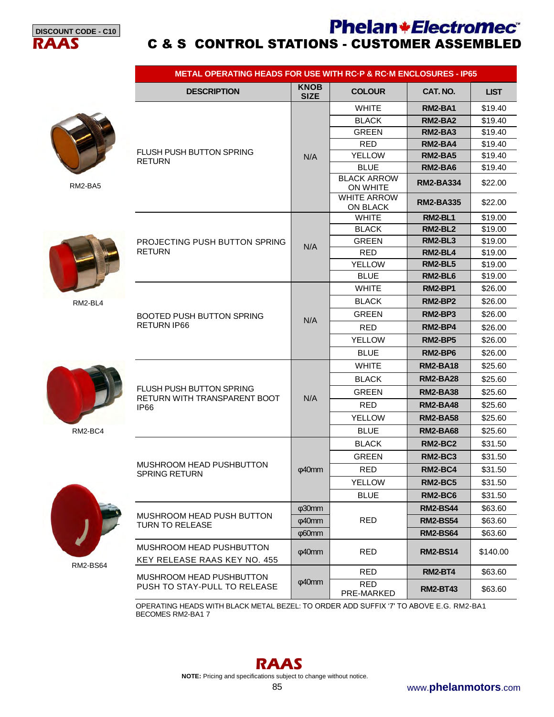

#### **Phelan+Electromec RAAS** C & S CONTROL STATIONS - CUSTOMER ASSEMBLED

|                 | <b>METAL OPERATING HEADS FOR USE WITH RC-P &amp; RC-M ENCLOSURES - IP65</b> |                            |                                       |                  |             |  |  |
|-----------------|-----------------------------------------------------------------------------|----------------------------|---------------------------------------|------------------|-------------|--|--|
|                 | <b>DESCRIPTION</b>                                                          | <b>KNOB</b><br><b>SIZE</b> | <b>COLOUR</b>                         | CAT. NO.         | <b>LIST</b> |  |  |
|                 |                                                                             |                            | <b>WHITE</b>                          | RM2-BA1          | \$19.40     |  |  |
|                 |                                                                             |                            | <b>BLACK</b>                          | RM2-BA2          | \$19.40     |  |  |
|                 |                                                                             |                            | <b>GREEN</b>                          | RM2-BA3          | \$19.40     |  |  |
|                 |                                                                             |                            | <b>RED</b>                            | RM2-BA4          | \$19.40     |  |  |
|                 | <b>FLUSH PUSH BUTTON SPRING</b><br><b>RETURN</b>                            | N/A                        | <b>YELLOW</b>                         | RM2-BA5          | \$19.40     |  |  |
| RM2-BA5         |                                                                             |                            | <b>BLUE</b>                           | <b>RM2-BA6</b>   | \$19.40     |  |  |
|                 |                                                                             |                            | <b>BLACK ARROW</b><br><b>ON WHITE</b> | <b>RM2-BA334</b> | \$22.00     |  |  |
|                 |                                                                             |                            | <b>WHITE ARROW</b><br>ON BLACK        | <b>RM2-BA335</b> | \$22.00     |  |  |
|                 |                                                                             |                            | <b>WHITE</b>                          | <b>RM2-BL1</b>   | \$19.00     |  |  |
| RM2-BL4         |                                                                             |                            | <b>BLACK</b>                          | RM2-BL2          | \$19.00     |  |  |
|                 | PROJECTING PUSH BUTTON SPRING                                               | N/A                        | <b>GREEN</b>                          | <b>RM2-BL3</b>   | \$19.00     |  |  |
|                 | <b>RETURN</b>                                                               |                            | <b>RED</b>                            | RM2-BL4          | \$19.00     |  |  |
|                 |                                                                             |                            | <b>YELLOW</b>                         | <b>RM2-BL5</b>   | \$19.00     |  |  |
|                 |                                                                             | N/A                        | <b>BLUE</b>                           | RM2-BL6          | \$19.00     |  |  |
|                 |                                                                             |                            | <b>WHITE</b>                          | <b>RM2-BP1</b>   | \$26.00     |  |  |
|                 |                                                                             |                            | <b>BLACK</b>                          | RM2-BP2          | \$26.00     |  |  |
|                 | BOOTED PUSH BUTTON SPRING                                                   |                            | <b>GREEN</b>                          | RM2-BP3          | \$26.00     |  |  |
|                 | RETURN IP66                                                                 |                            | <b>RED</b>                            | RM2-BP4          | \$26.00     |  |  |
|                 |                                                                             |                            | <b>YELLOW</b>                         | RM2-BP5          | \$26.00     |  |  |
|                 |                                                                             |                            | <b>BLUE</b>                           | RM2-BP6          | \$26.00     |  |  |
|                 |                                                                             | N/A                        | <b>WHITE</b>                          | <b>RM2-BA18</b>  | \$25.60     |  |  |
|                 |                                                                             |                            | <b>BLACK</b>                          | <b>RM2-BA28</b>  | \$25.60     |  |  |
|                 | FLUSH PUSH BUTTON SPRING<br>RETURN WITH TRANSPARENT BOOT                    |                            | <b>GREEN</b>                          | <b>RM2-BA38</b>  | \$25.60     |  |  |
|                 | <b>IP66</b>                                                                 |                            | <b>RED</b>                            | <b>RM2-BA48</b>  | \$25.60     |  |  |
|                 |                                                                             |                            | <b>YELLOW</b>                         | <b>RM2-BA58</b>  | \$25.60     |  |  |
| RM2-BC4         |                                                                             |                            | <b>BLUE</b>                           | <b>RM2-BA68</b>  | \$25.60     |  |  |
|                 |                                                                             |                            | <b>BLACK</b>                          | RM2-BC2          | \$31.50     |  |  |
|                 |                                                                             |                            | <b>GREEN</b>                          | <b>RM2-BC3</b>   | \$31.50     |  |  |
|                 | MUSHROOM HEAD PUSHBUTTON<br>SPRING RETURN                                   | φ40mm                      | RED                                   | RM2-BC4          | \$31.50     |  |  |
|                 |                                                                             |                            | <b>YELLOW</b>                         | <b>RM2-BC5</b>   | \$31.50     |  |  |
|                 |                                                                             |                            | <b>BLUE</b>                           | <b>RM2-BC6</b>   | \$31.50     |  |  |
|                 |                                                                             | $\phi$ 30mm                |                                       | <b>RM2-BS44</b>  | \$63.60     |  |  |
|                 | MUSHROOM HEAD PUSH BUTTON                                                   | $\phi$ 40mm                | <b>RED</b>                            | <b>RM2-BS54</b>  | \$63.60     |  |  |
|                 | TURN TO RELEASE                                                             | $\phi$ 60mm                |                                       | <b>RM2-BS64</b>  | \$63.60     |  |  |
|                 | MUSHROOM HEAD PUSHBUTTON<br>KEY RELEASE RAAS KEY NO. 455                    | $\phi$ 40mm                | <b>RED</b>                            | <b>RM2-BS14</b>  | \$140.00    |  |  |
| <b>RM2-BS64</b> |                                                                             |                            | <b>RED</b>                            | <b>RM2-BT4</b>   | \$63.60     |  |  |
|                 | MUSHROOM HEAD PUSHBUTTON<br>PUSH TO STAY-PULL TO RELEASE                    | $\phi$ 40mm                | <b>RED</b><br>PRE-MARKED              | <b>RM2-BT43</b>  | \$63.60     |  |  |

OPERATING HEADS WITH BLACK METAL BEZEL: TO ORDER ADD SUFFIX '7' TO ABOVE E.G. RM2-BA1 BECOMES RM2-BA1 7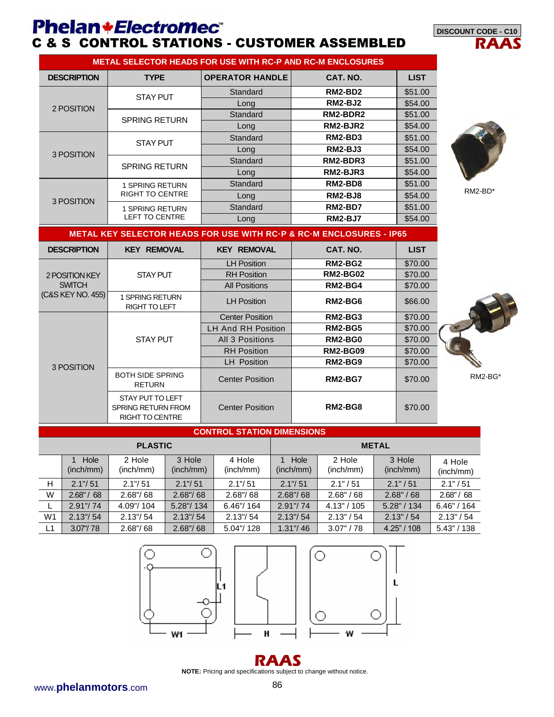#### **Phelan \*Electromec** C & S CONTROL STATIONS - CUSTOMER ASSEMBLED

**RAAS DISCOUNT CODE - C10** 

| <b>METAL SELECTOR HEADS FOR USE WITH RC-P AND RC-M ENCLOSURES</b> |                        |                        |                |             |  |  |  |
|-------------------------------------------------------------------|------------------------|------------------------|----------------|-------------|--|--|--|
| <b>DESCRIPTION</b>                                                | <b>TYPE</b>            | <b>OPERATOR HANDLE</b> | CAT. NO.       | <b>LIST</b> |  |  |  |
| 2 POSITION                                                        | <b>STAY PUT</b>        | Standard               | RM2-BD2        | \$51.00     |  |  |  |
|                                                                   |                        | Long                   | RM2-BJ2        | \$54.00     |  |  |  |
|                                                                   | <b>SPRING RETURN</b>   | Standard               | RM2-BDR2       | \$51.00     |  |  |  |
|                                                                   |                        | Long                   | RM2-BJR2       | \$54.00     |  |  |  |
| 3 POSITION                                                        | <b>STAY PUT</b>        | Standard               | RM2-BD3        | \$51.00     |  |  |  |
|                                                                   |                        | Long                   | RM2-BJ3        | \$54.00     |  |  |  |
|                                                                   | <b>SPRING RETURN</b>   | Standard               | RM2-BDR3       | \$51.00     |  |  |  |
|                                                                   |                        | Long                   | RM2-BJR3       | \$54.00     |  |  |  |
|                                                                   | <b>1 SPRING RETURN</b> | Standard               | RM2-BD8        | \$51.00     |  |  |  |
| 3 POSITION                                                        | <b>RIGHT TO CENTRE</b> | Long                   | <b>RM2-BJ8</b> | \$54.00     |  |  |  |
|                                                                   | <b>1 SPRING RETURN</b> | Standard               | RM2-BD7        | \$51.00     |  |  |  |
|                                                                   | <b>LEFT TO CENTRE</b>  | Long                   | <b>RM2-BJ7</b> | \$54.00     |  |  |  |



RM2-BD\*

| <b>METAL KEY SELECTOR HEADS FOR USE WITH RC P &amp; RC M ENCLOSURES - IP65</b> |                                                                         |                        |                 |             |  |  |
|--------------------------------------------------------------------------------|-------------------------------------------------------------------------|------------------------|-----------------|-------------|--|--|
| <b>DESCRIPTION</b>                                                             | <b>KEY REMOVAL</b>                                                      | <b>KEY REMOVAL</b>     | CAT. NO.        | <b>LIST</b> |  |  |
|                                                                                |                                                                         | <b>LH Position</b>     | <b>RM2-BG2</b>  | \$70.00     |  |  |
| 2 POSITION KEY                                                                 | <b>STAY PUT</b>                                                         | <b>RH</b> Position     | <b>RM2-BG02</b> | \$70.00     |  |  |
| <b>SWITCH</b>                                                                  |                                                                         | <b>All Positions</b>   | <b>RM2-BG4</b>  | \$70.00     |  |  |
| (C&S KEY NO. 455)                                                              | <b>SPRING RETURN</b><br>RIGHT TO LEFT                                   | <b>LH Position</b>     | RM2-BG6         | \$66.00     |  |  |
| 3 POSITION                                                                     |                                                                         | <b>Center Position</b> | RM2-BG3         | \$70.00     |  |  |
|                                                                                |                                                                         | LH And RH Position     | RM2-BG5         | \$70.00     |  |  |
|                                                                                | <b>STAY PUT</b>                                                         | All 3 Positions        | RM2-BG0         | \$70.00     |  |  |
|                                                                                |                                                                         | <b>RH Position</b>     | <b>RM2-BG09</b> | \$70.00     |  |  |
|                                                                                |                                                                         | <b>LH</b> Position     | RM2-BG9         | \$70.00     |  |  |
|                                                                                | <b>BOTH SIDE SPRING</b><br><b>RETURN</b>                                | <b>Center Position</b> | <b>RM2-BG7</b>  | \$70.00     |  |  |
|                                                                                | STAY PUT TO LEFT<br><b>SPRING RETURN FROM</b><br><b>RIGHT TO CENTRE</b> | <b>Center Position</b> | RM2-BG8         | \$70.00     |  |  |

#### **CONTROL STATION DIMENSIONS**

| <b>PLASTIC</b> |                   |                     |                     |                     |                   |                     | <b>METAL</b>        |                     |
|----------------|-------------------|---------------------|---------------------|---------------------|-------------------|---------------------|---------------------|---------------------|
|                | Hole<br>(inch/mm) | 2 Hole<br>(inch/mm) | 3 Hole<br>(inch/mm) | 4 Hole<br>(inch/mm) | Hole<br>(inch/mm) | 2 Hole<br>(inch/mm) | 3 Hole<br>(inch/mm) | 4 Hole<br>(inch/mm) |
| H              | 2.1''/51          | 2.1''/51            | 2.1''/51            | $2.1$ "/ $51$       | 2.1''/51          | 2.1" / 51           | 2.1" / 51           | 2.1" / 51           |
| W              | 2.68''/68         | 2.68''/68           | 2.68''/68           | 2.68''/68           | 2.68''/68         | 2.68" / 68          | 2.68" / 68          | 2.68''/68           |
|                | 2.91''/74         | 4.09"/104           | 5.28"/134           | 6.46"/164           | 2.91''/74         | 4.13" / 105         | 5.28" / 134         | 6.46" / 164         |
| W <sub>1</sub> | 2.13''/54         | 2.13''/54           | 2.13''/54           | 2.13''/54           | 2.13''/54         | 2.13" / 54          | 2.13'' / 54         | 2.13" / 54          |
| L1             | 3.07''/78         | 2.68''/68           | 2.68''/68           | 5.04"/128           | 1.31''/46         | 3.07" / 78          | $4.25$ " / 108      | $5.43$ " / 138      |





**NOTE:** Pricing and specifications subject to change without notice.